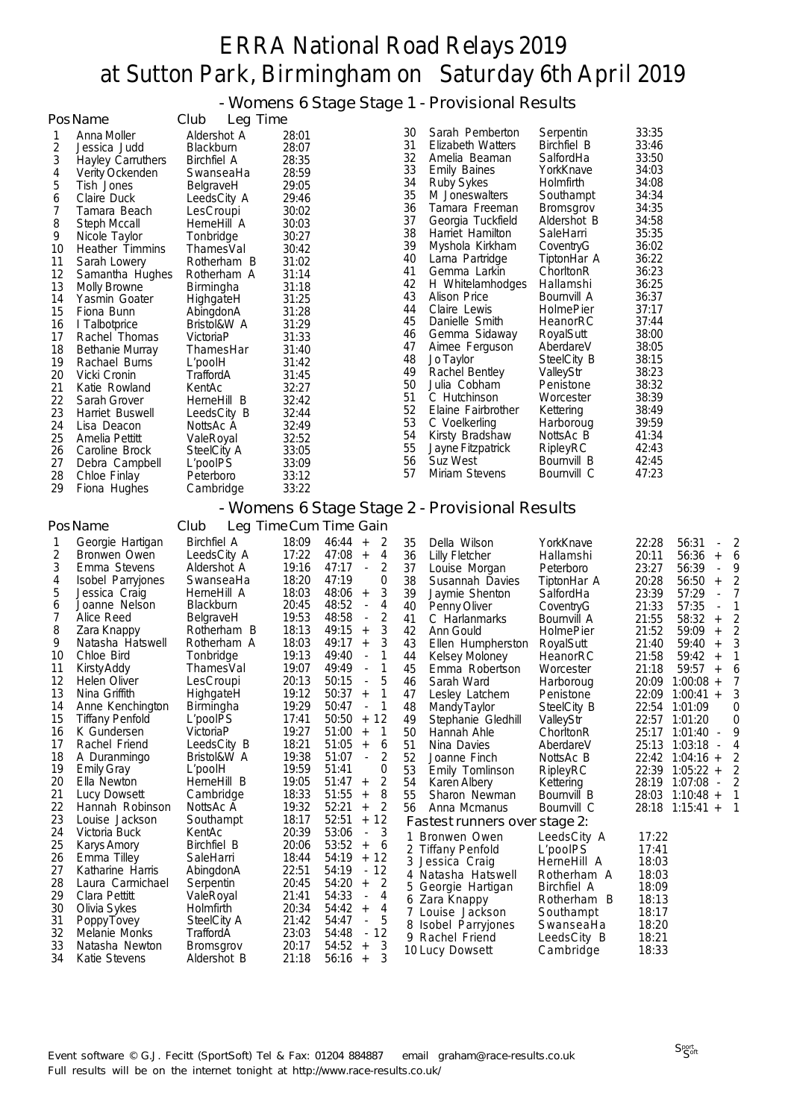- Womens 6 Stage Stage 1 - Provisional Results

|          | PosName                         | Club<br>Leg Time                |                |                                                     |          |                                                |                         |                |                                                       |
|----------|---------------------------------|---------------------------------|----------------|-----------------------------------------------------|----------|------------------------------------------------|-------------------------|----------------|-------------------------------------------------------|
| 1        | Anna Moller                     | Aldershot A                     | 28:01          |                                                     | 30       | Sarah Pemberton                                | Serpentin               | 33:35          |                                                       |
| 2        | Jessica Judd                    | Blackburn                       | 28:07          |                                                     | 31       | Elizabeth Watters                              | Birchfiel B             | 33:46          |                                                       |
| 3        | Hayley Carruthers               | <b>Birchfiel A</b>              | 28:35          |                                                     | 32       | Amelia Beaman                                  | SalfordHa               | 33:50          |                                                       |
| 4        | Verity Ockenden                 | SwanseaHa                       | 28:59          |                                                     | 33<br>34 | <b>Emily Baines</b><br><b>Ruby Sykes</b>       | YorkKnave<br>Holmfirth  | 34:03<br>34:08 |                                                       |
| 5        | Tish Jones                      | BelgraveH                       | 29:05          |                                                     | 35       | M Joneswalters                                 | Southampt               | 34:34          |                                                       |
| 6<br>7   | Claire Duck<br>Tamara Beach     | LeedsCity A<br>LesCroupi        | 29:46<br>30:02 |                                                     | 36       | Tamara Freeman                                 | Bromsgrov               | 34:35          |                                                       |
| 8        | Steph Mccall                    | HerneHill A                     | 30:03          |                                                     | 37       | Georgia Tuckfield                              | Aldershot B             | 34:58          |                                                       |
| 9        | Nicole Taylor                   | Tonbridge                       | 30:27          |                                                     | 38       | Harriet Hamilton                               | SaleHarri               | 35:35          |                                                       |
| 10       | <b>Heather Timmins</b>          | ThamesVal                       | 30:42          |                                                     | 39       | Myshola Kirkham                                | CoventryG               | 36:02          |                                                       |
| 11       | Sarah Lowery                    | Rotherham B                     | 31:02          |                                                     | 40       | Larna Partridge                                | TiptonHar A             | 36:22          |                                                       |
| 12       | Samantha Hughes                 | Rotherham A                     | 31:14          |                                                     | 41       | Gemma Larkin                                   | ChoritonR               | 36:23          |                                                       |
| 13       | <b>Molly Browne</b>             | Birmingha                       | 31:18          |                                                     | 42       | H Whitelamhodges                               | Hallamshi               | 36:25          |                                                       |
| 14       | Yasmin Goater                   | HighgateH                       | 31:25          |                                                     | 43       | Alison Price                                   | Bournvill A             | 36:37          |                                                       |
| 15       | Fiona Bunn                      | AbingdonA                       | 31:28          |                                                     | 44       | Claire Lewis                                   | HolmePier               | 37:17          |                                                       |
| 16       | I Talbotprice                   | Bristol&W A                     | 31:29          |                                                     | 45<br>46 | Danielle Smith                                 | HeanorRC                | 37:44<br>38:00 |                                                       |
| 17       | Rachel Thomas                   | VictoriaP                       | 31:33          |                                                     | 47       | Gemma Sidaway<br>Aimee Ferguson                | RoyalSutt<br>AberdareV  | 38:05          |                                                       |
| 18       | <b>Bethanie Murray</b>          | ThamesHar                       | 31:40          |                                                     | 48       | Jo Taylor                                      | SteelCity B             | 38:15          |                                                       |
| 19<br>20 | Rachael Burns<br>Vicki Cronin   | L'poolH<br>TraffordA            | 31:42<br>31:45 |                                                     | 49       | Rachel Bentley                                 | ValleyStr               | 38:23          |                                                       |
| 21       | Katie Rowland                   | KentAc                          | 32:27          |                                                     | 50       | Julia Cobham                                   | Penistone               | 38:32          |                                                       |
| 22       | Sarah Grover                    | HerneHill B                     | 32:42          |                                                     | 51       | C Hutchinson                                   | Worcester               | 38:39          |                                                       |
| 23       | Harriet Buswell                 | LeedsCity B                     | 32:44          |                                                     | 52       | Elaine Fairbrother                             | Kettering               | 38:49          |                                                       |
| 24       | Lisa Deacon                     | NottsAc A                       | 32:49          |                                                     | 53       | C Voelkerling                                  | Harboroug               | 39:59          |                                                       |
| 25       | Amelia Pettitt                  | ValeRoyal                       | 32:52          |                                                     | 54       | Kirsty Bradshaw                                | NottsAc B               | 41:34          |                                                       |
| 26       | Caroline Brock                  | SteelCity A                     | 33:05          |                                                     | 55       | Jayne Fitzpatrick                              | RipleyRC                | 42:43          |                                                       |
| 27       | Debra Campbell                  | L'poolPS                        | 33:09          |                                                     | 56       | Suz West                                       | Bournvill B             | 42:45          |                                                       |
| 28       | Chloe Finlay                    | Peterboro                       | 33:12          |                                                     | 57       | Miriam Stevens                                 | Bournvill C             | 47:23          |                                                       |
| 29       | Fiona Hughes                    | Cambridge                       | 33:22          |                                                     |          |                                                |                         |                |                                                       |
|          |                                 |                                 |                |                                                     |          | - Womens 6 Stage Stage 2 - Provisional Results |                         |                |                                                       |
|          | PosName                         | Club                            |                | Leg Time Cum Time Gain                              |          |                                                |                         |                |                                                       |
| 1        | Georgie Hartigan                | <b>Birchfiel A</b>              | 18:09          | 46:44<br>$^+$<br>2                                  | 35       | Della Wilson                                   | YorkKnave               | 22:28          | 56:31<br>2                                            |
| 2        | Bronwen Owen                    | LeedsCity A                     | 17:22          | 47:08<br>4<br>$^{\mathrm{+}}$                       | 36       | <b>Lilly Fletcher</b>                          | Hallamshi               | 20:11          | 56:36<br>6<br>$^{\mathrm{+}}$                         |
| 3        | Emma Stevens                    | Aldershot A                     | 19:16          | 47:17<br>2<br>$\blacksquare$                        | 37       | Louise Morgan                                  | Peterboro               | 23:27          | 56:39<br>9<br>$\overline{\phantom{a}}$                |
| 4        | Isobel Parryjones               | SwanseaHa                       | 18:20          | 47:19<br>0                                          | 38       | Susannah Davies                                | TiptonHar A             | 20:28          | 56:50<br>2<br>$^{+}$                                  |
| 5        | Jessica Craig                   | HerneHill A                     | 18:03          | 48:06<br>3<br>$\begin{array}{c} + \end{array}$      | 39       | Jaymie Shenton                                 | SalfordHa               | 23:39          | 57:29<br>7<br>$\Box$                                  |
| 6        | Joanne Nelson                   | Blackburn                       | 20:45          | 48:52<br>4<br>$\overline{\phantom{a}}$              | 40       | Penny Oliver                                   | CoventryG               | 21:33          | 57:35<br>1<br>$\overline{\phantom{a}}$                |
| 7        | Alice Reed                      | BelgraveH                       | 19:53          | 48:58<br>2<br>$\blacksquare$                        | 41       | C Harlanmarks                                  | Bournvill A             | 21:55          | 58:32<br>$\overline{\mathbf{c}}$<br>$\qquad \qquad +$ |
| 8<br>9   | Zara Knappy                     | Rotherham B                     | 18:13          | 3<br>49:15<br>$^{\mathrm{+}}$<br>49:17              | 42       | Ann Gould                                      | <b>HolmePier</b>        | 21:52          | $\overline{c}$<br>59:09<br>$\overline{+}$             |
| 10       | Natasha Hatswell<br>Chloe Bird  | Rotherham A<br>Tonbridge        | 18:03<br>19:13 | 3<br>$^+$<br>49:40<br>1<br>$\overline{\phantom{a}}$ | 43<br>44 | Ellen Humpherston<br>Kelsey Moloney            | RoyalSutt               | 21:40<br>21:58 | 3<br>59:40<br>$^{+}$<br>59:42<br>1                    |
| 11       | Kirsty Addy                     | ThamesVal                       | 19:07          | 49:49<br>1<br>$\overline{\phantom{a}}$              | 45       | Emma Robertson                                 | HeanorRC<br>Worcester   | 21:18          | $^{+}$<br>59:57<br>6<br>$^+$                          |
| 12       | Helen Oliver                    | LesCroupi                       | 20:13          | 50:15<br>5<br>$\overline{\phantom{a}}$              | 46       | Sarah Ward                                     | Harboroug               | 20:09          | $1:00:08 +$<br>7                                      |
| 13       | Nina Griffith                   | HighgateH                       | 19:12          | 50:37<br>$\qquad \qquad +$<br>1                     | 47       | Lesley Latchem                                 | Penistone               |                | 22:09 1:00:41 +<br>3                                  |
| 14       | Anne Kenchington                | Birmingha                       | 19:29          | 50:47<br>1<br>$\sim$                                | 48       | Mandy Taylor                                   | SteelCity B             |                | 22:54 1:01:09<br>0                                    |
| 15       | <b>Tiffany Penfold</b>          | L'poolPS                        | 17:41          | 50:50<br>$+ 12$                                     | 49       | Stephanie Gledhill                             | ValleyStr               |                | 22:57 1:01:20<br>0                                    |
| 16       | K Gundersen                     | VictoriaP                       | 19:27          | 51:00<br>$\mathbf{1}$<br>$^{\mathrm{+}}$            | 50       | Hannah Ahle                                    | ChorltonR               |                | 9<br>25:17 1:01:40<br>$\overline{\phantom{a}}$        |
| 17       | Rachel Friend                   | LeedsCity B                     | 18:21          | 51:05<br>$\begin{array}{c} + \end{array}$<br>6      | 51       | Nina Davies                                    | AberdareV               |                | 25:13 1:03:18<br>4<br>$\overline{\phantom{a}}$        |
| 18       | A Duranmingo                    | Bristol&W A                     | 19:38          | 51:07<br>2<br>$\overline{\phantom{a}}$              | 52       | Joanne Finch                                   | NottsAc B               |                | 22:42 1:04:16 +<br>2                                  |
| 19       | <b>Emily Gray</b>               | L'poolH                         | 19:59          | 51:41<br>0                                          | 53       | Emily Tomlinson                                | RipleyRC                |                | 22:39 1:05:22 +<br>$\overline{\mathbf{c}}$            |
| 20       | Ella Newton                     | HerneHill B                     | 19:05<br>18:33 | 51:47<br>2<br>$^{+}$<br>51:55                       | 54       | Karen Albery                                   | Kettering               |                | 28:19 1:07:08 -<br>2                                  |
| 21<br>22 | Lucy Dowsett<br>Hannah Robinson | Cambridge<br>NottsAc A          | 19:32          | 8<br>$^{\mathrm{+}}$<br>52:21<br>2                  | 55       | Sharon Newman                                  | Bournvill B             |                | 28:03 1:10:48 +<br>1                                  |
| 23       | Louise Jackson                  | Southampt                       | 18:17          | $^{\mathrm{+}}$<br>52:51<br>12<br>$+$               | 56       | Anna Mcmanus                                   | Bournvill C             |                | 28:18 1:15:41 +<br>1                                  |
| 24       | Victoria Buck                   | KentAc                          | 20:39          | 53:06<br>$\overline{\phantom{a}}$<br>3              |          | Fastest runners over stage 2:                  |                         |                |                                                       |
| 25       | Karys Amory                     | <b>Birchfiel B</b>              | 20:06          | 53:52<br>$\qquad \qquad +$<br>6                     |          | 1 Bronwen Owen<br>2 Tiffany Penfold            | LeedsCity A             | 17:22          |                                                       |
| 26       | Emma Tilley                     | SaleHarri                       | 18:44          | 54:19<br>$+ 12$                                     |          | 3 Jessica Craig                                | L'poolPS<br>HerneHill A | 17:41<br>18:03 |                                                       |
| 27       | Katharine Harris                | AbingdonA                       | 22:51          | 54:19<br>12<br>$\overline{\phantom{a}}$             |          | 4 Natasha Hatswell                             | Rotherham A             | 18:03          |                                                       |
| 28       | Laura Carmichael                | Serpentin                       | 20:45          | 54:20<br>2<br>$\qquad \qquad +$                     |          | 5 Georgie Hartigan                             | Birchfiel A             | 18:09          |                                                       |
| 29       | Clara Pettitt                   | ValeRoyal                       | 21:41          | 54:33<br>4<br>$\overline{\phantom{a}}$              |          | 6 Zara Knappy                                  | Rotherham B             | 18:13          |                                                       |
| 30       | Olivia Sykes                    | Holmfirth                       | 20:34          | 54:42<br>$\qquad \qquad +$<br>4                     |          | 7 Louise Jackson                               | Southampt               | 18:17          |                                                       |
| 31       | Poppy Tovey                     | SteelCity A                     | 21:42          | 54:47<br>5<br>$\overline{\phantom{a}}$              |          | 8 Isobel Parryjones                            | SwanseaHa               | 18:20          |                                                       |
| 32       | Melanie Monks                   | TraffordA                       | 23:03          | 54:48<br>$\sim$<br>12                               |          | 9 Rachel Friend                                | LeedsCity B             | 18:21          |                                                       |
| 33<br>34 | Natasha Newton<br>Katie Stevens | <b>Bromsgrov</b><br>Aldershot B | 20:17<br>21:18 | 54:52<br>$^+$<br>3<br>$56:16 +$<br>3                |          | 10 Lucy Dowsett                                | Cambridge               | 18:33          |                                                       |
|          |                                 |                                 |                |                                                     |          |                                                |                         |                |                                                       |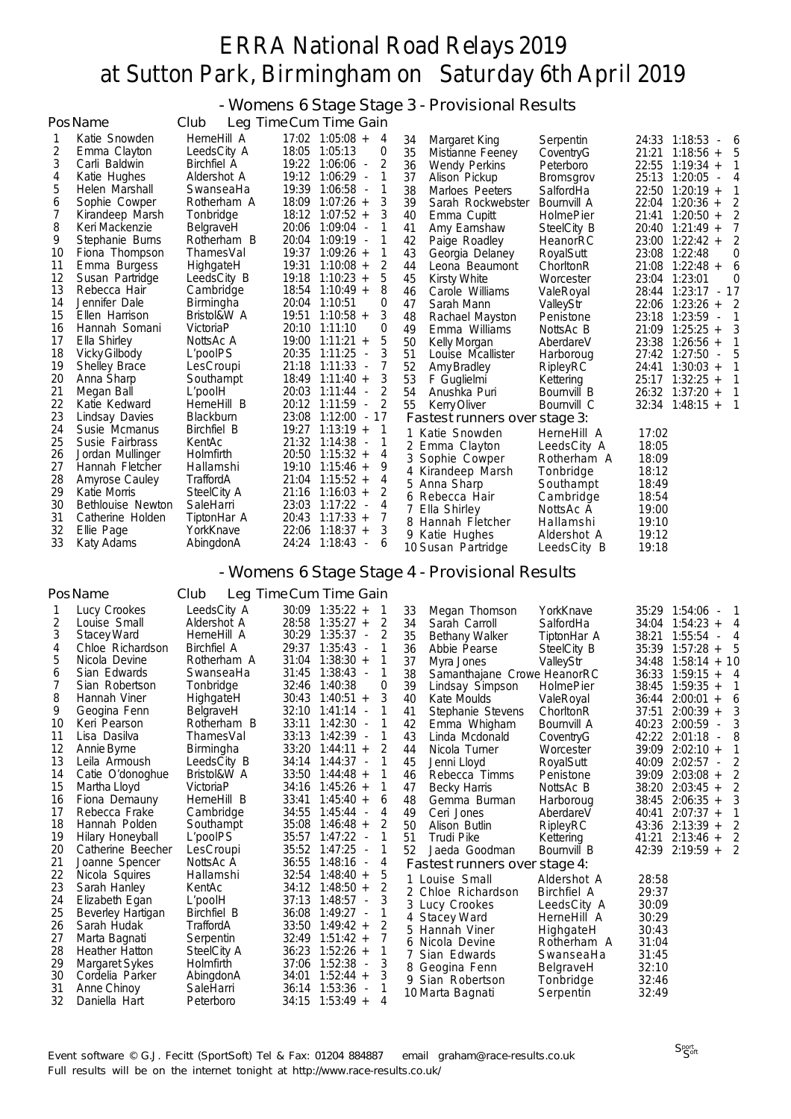- Womens 6 Stage Stage 3 - Provisional Results

|    | PosName              | Club               | Leg Time Cum Time Gain                            |                               |                  |                                 |
|----|----------------------|--------------------|---------------------------------------------------|-------------------------------|------------------|---------------------------------|
|    | Katie Snowden        | HerneHill A        | 17:02 1:05:08 +<br>4                              | 34<br>Margaret King           | Serpentin        | 24:33 1:18:53<br>- 6            |
| 2  | Emma Clayton         | LeedsCity A        | 18:05<br>1:05:13<br>0                             | 35<br>Mistianne Feeney        | CoventryG        | 21:21<br>$1:18:56 +$<br>5       |
| 3  | Carli Baldwin        | <b>Birchfiel A</b> | 19:22<br>2<br>$1:06:06 -$                         | 36<br><b>Wendy Perkins</b>    | Peterboro        | 22:55<br>$1:19:34 +$            |
| 4  | Katie Hughes         | Aldershot A        | 19:12<br>$1:06:29 -$                              | 37<br>Alison Pickup           | <b>Bromsgrov</b> | 25:13<br>1:20:05<br>4<br>$\sim$ |
| 5  | Helen Marshall       | SwanseaHa          | 19:39<br>$1:06:58$ -                              | 38<br>Marloes Peeters         | SalfordHa        | 22:50 1:20:19 +                 |
| 6  | Sophie Cowper        | Rotherham A        | 18:09<br>$1:07:26 +$<br>3                         | 39<br>Sarah Rockwebster       | Bournvill A      | 22:04<br>$1:20:36 +$            |
| 7  | Kirandeep Marsh      | Tonbridge          | 18:12<br>$1:07:52 +$                              | 40<br>Emma Cupitt             | HolmePier        | $1:20:50 +$<br>21:41            |
| 8  | Keri Mackenzie       | BelgraveH          | $1:09:04 -$<br>20:06                              | 41<br>Amy Earnshaw            | SteelCity B      | 20:40<br>$1:21:49 +$            |
| 9  | Stephanie Burns      | Rotherham B        | 20:04<br>$1:09:19 -$                              | 42<br>Paige Roadley           | HeanorRC         | 23:00 1:22:42 +<br>2            |
| 10 | Fiona Thompson       | ThamesVal          | 19:37<br>$1:09:26 +$                              | 43<br>Georgia Delaney         | RoyalSutt        | 23:08<br>1:22:48<br>0           |
| 11 | Emma Burgess         | HighgateH          | 19:31<br>$1:10:08 +$<br>2                         | 44<br>Leona Beaumont          | ChorltonR        | $1:22:48 +$<br>21:08<br>6       |
| 12 | Susan Partridge      | LeedsCity B        | 19:18<br>$1:10:23 +$<br>5                         | 45<br><b>Kirsty White</b>     | Worcester        | 23:04 1:23:01<br>0              |
| 13 | Rebecca Hair         | Cambridge          | 18:54<br>$1:10:49 +$<br>8                         | 46<br>Carole Williams         | ValeRoyal        | 28:44 1:23:17 - 17              |
| 14 | Jennifer Dale        | Birmingha          | 20:04<br>1:10:51<br>0                             | 47<br>Sarah Mann              | ValleyStr        | 22:06<br>$1:23:26 +$<br>2       |
| 15 | Ellen Harrison       | Bristol&W A        | 19:51<br>3<br>$1:10:58 +$                         | 48<br>Rachael Mayston         | Penistone        | 1:23:59<br>23:18<br>$\sim$      |
| 16 | Hannah Somani        | VictoriaP          | 20:10<br>1:11:10<br>0                             | 49<br>Emma Williams           | NottsAc B        | $1:25:25 +$<br>21:09            |
| 17 | Ella Shirley         | NottsAc A          | 19:00<br>$1:11:21 +$<br>5                         | 50<br>Kelly Morgan            | AberdareV        | 23:38<br>$1:26:56 +$            |
| 18 | <b>Vicky Gilbody</b> | L'poolPS           | 20:35<br>$1:11:25 -$                              | 51<br>Louise Mcallister       | Harboroug        | 27:42<br>$1:27:50 -$<br>5       |
| 19 | Shelley Brace        | LesCroupi          | 21:18<br>$1:11:33 -$                              | 52<br>Amy Bradley             | RipleyRC         | $1:30:03 +$<br>24:41            |
| 20 | Anna Sharp           | Southampt          | 18:49<br>$1:11:40 +$<br>3                         | 53<br>F Guglielmi             | Kettering        | $1:32:25 +$<br>25:17            |
| 21 | Megan Ball           | L'poolH            | 20:03<br>$1:11:44$ -<br>2                         | 54<br>Anushka Puri            | Bournvill B      | 26:32 1:37:20 +                 |
| 22 | Katie Kedward        | HerneHill B        | 20:12<br>1:11:59<br>$\sim$                        | 55<br>Kerry Oliver            | Bournvill C      | $32:34$ 1:48:15 +               |
| 23 | Lindsay Davies       | Blackburn          | 23:08<br>$1:12:00 -$<br>17                        | Fastest runners over stage 3: |                  |                                 |
| 24 | Susie Mcmanus        | Birchfiel B        | 19:27<br>$1:13:19 +$                              | Katie Snowden                 | HerneHill A      | 17:02                           |
| 25 | Susie Fairbrass      | KentAc             | 21:32<br>$1:14:38 -$                              | 2 Emma Clayton                | LeedsCity A      | 18:05                           |
| 26 | Jordan Mullinger     | Holmfirth          | 20:50<br>$1:15:32 +$<br>4                         | Sophie Cowper                 | Rotherham A      | 18:09                           |
| 27 | Hannah Fletcher      | Hallamshi          | 9<br>19:10<br>$1:15:46 +$                         | Kirandeep Marsh               | Tonbridge        | 18:12                           |
| 28 | Amyrose Cauley       | TraffordA          | 21:04<br>$1:15:52 +$<br>4                         | Anna Sharp<br>5.              | Southampt        | 18:49                           |
| 29 | Katie Morris         | SteelCity A        | $1:16:03 +$<br>2<br>21:16                         | Rebecca Hair<br>6             | Cambridge        | 18:54                           |
| 30 | Bethlouise Newton    | SaleHarri          | 23:03<br>1:17:22<br>4<br>$\overline{\phantom{a}}$ | Ella Shirley                  | NottsAc A        | 19:00                           |
| 31 | Catherine Holden     | TiptonHar A        | 20:43<br>$1:17:33 +$<br>7                         | 8 Hannah Fletcher             | Hallamshi        | 19:10                           |
| 32 | Ellie Page           | YorkKnave          | $1:18:37 +$<br>22:06<br>3                         | Katie Hughes<br>9             | Aldershot A      | 19:12                           |
| 33 | Katy Adams           | AbingdonA          | 24:24<br>1:18:43<br>6<br>$\overline{\phantom{a}}$ | 10 Susan Partridge            | LeedsCity B      | 19:18                           |

#### - Womens 6 Stage Stage 4 - Provisional Results

|    | PosName           | Club               | Leg Time Cum Time Gain                       |                |    |                               |                    |       |                         |   |
|----|-------------------|--------------------|----------------------------------------------|----------------|----|-------------------------------|--------------------|-------|-------------------------|---|
|    | Lucy Crookes      | LeedsCity A        | 30:09 1:35:22 +                              |                | 33 | Megan Thomson                 | YorkKnave          |       | 35:29 1:54:06<br>$\sim$ |   |
| 2  | Louise Small      | Aldershot A        | $28:58$ 1:35:27 +                            | 2              | 34 | Sarah Carroll                 | SalfordHa          | 34:04 | $1:54:23 +$             | 4 |
| 3  | Stacey Ward       | HerneHill A        | 30:29 1:35:37<br>$\sim$                      | 2              | 35 | <b>Bethany Walker</b>         | TiptonHar A        | 38:21 | 1:55:54<br>$\sim$       | 4 |
| 4  | Chloe Richardson  | <b>Birchfiel A</b> | 29:37<br>1:35:43<br>$\overline{\phantom{a}}$ |                | 36 | Abbie Pearse                  | SteelCity B        | 35:39 | 1:57:28<br>$+$          |   |
| 5  | Nicola Devine     | Rotherham A        | $1:38:30 +$<br>31:04                         |                | 37 | Myra Jones                    | ValleyStr          | 34:48 | $1:58:14 + 10$          |   |
| 6  | Sian Edwards      | SwanseaHa          | 31:45 1:38:43 -                              |                | 38 | Samanthajane Crowe HeanorRC   |                    | 36:33 | $1:59:15 +$             | 4 |
|    | Sian Robertson    | Tonbridge          | 32:46 1:40:38                                | 0              | 39 | Lindsay Simpson               | <b>HolmePier</b>   | 38:45 | $1:59:35 +$             |   |
| 8  | Hannah Viner      | HighgateH          | 30:43<br>$1:40:51 +$                         | 3              | 40 | Kate Moulds                   | ValeRoyal          | 36:44 | 2:00:01<br>$+$          | 6 |
| 9  | Geogina Fenn      | BelgraveH          | 32:10<br>1:41:14<br>$\overline{\phantom{a}}$ |                | 41 | Stephanie Stevens             | ChorltonR          | 37:51 | $2:00:39 +$             |   |
| 10 | Keri Pearson      | Rotherham B        | 1:42:30<br>33:11<br>$\overline{\phantom{a}}$ |                | 42 | Emma Whigham                  | Bournvill A        | 40:23 | 2:00:59<br>$\sim$       |   |
| 11 | Lisa Dasilva      | ThamesVal          | 33:13<br>$1:42:39$ -                         |                | 43 | Linda Mcdonald                | CoventryG          | 42:22 | 2:01:18                 |   |
| 12 | Annie Byrne       | Birmingha          | 33:20<br>$1:44:11 +$                         |                | 44 | Nicola Turner                 | Worcester          | 39:09 | $2:02:10 +$             |   |
| 13 | Leila Armoush     | LeedsCity B        | 34:14<br>1:44:37                             |                | 45 | Jenni Lloyd                   | RoyalSutt          | 40:09 | 2:02:57<br>$\sim$       |   |
| 14 | Catie O'donoghue  | Bristol&W A        | $33:50$ 1:44:48 +                            |                | 46 | Rebecca Timms                 | Penistone          | 39:09 | $2:03:08 +$             |   |
| 15 | Martha Lloyd      | VictoriaP          | $34:16$ 1:45:26 +                            |                | 47 | <b>Becky Harris</b>           | NottsAc B          | 38:20 | $2:03:45 +$             |   |
| 16 | Fiona Demauny     | HerneHill B        | $1:45:40 +$<br>33:41                         | 6              | 48 | Gemma Burman                  | Harboroug          | 38:45 | $2:06:35 +$             |   |
| 17 | Rebecca Frake     | Cambridge          | 34:55<br>1:45:44                             | 4              | 49 | Ceri Jones                    | AberdareV          | 40:41 | $2:07:37 +$             |   |
| 18 | Hannah Polden     | Southampt          | 35:08<br>$1:46:48 +$                         |                | 50 | Alison Butlin                 | RipleyRC           | 43:36 | $2:13:39 +$             |   |
| 19 | Hilary Honeyball  | L'poolPS           | 35:57 1:47:22 -                              |                | 51 | <b>Trudi Pike</b>             | Kettering          | 41:21 | $2:13:46 +$             | 2 |
| 20 | Catherine Beecher | LesCroupi          | 35:52 1:47:25<br>$\sim$                      |                | 52 | Jaeda Goodman                 | Bournvill B        |       | 42:39 2:19:59 +         | 2 |
| 21 | Joanne Spencer    | NottsAc A          | 36:55 1:48:16<br>$\overline{\phantom{a}}$    | 4              |    | Fastest runners over stage 4: |                    |       |                         |   |
| 22 | Nicola Squires    | Hallamshi          | $32:54$ 1:48:40 +                            | 5              |    | 1 Louise Small                | Aldershot A        | 28:58 |                         |   |
| 23 | Sarah Hanley      | KentAc             | 34:12 1:48:50 +                              | 2              |    | 2 Chloe Richardson            | <b>Birchfiel A</b> | 29:37 |                         |   |
| 24 | Elizabeth Egan    | L'poolH            | 37:13<br>$1:48:57 -$                         | 3              |    | 3 Lucy Crookes                | LeedsCity A        | 30:09 |                         |   |
| 25 | Beverley Hartigan | Birchfiel B        | 36:08<br>1:49:27<br>$\overline{\phantom{a}}$ |                |    | 4 Stacey Ward                 | HerneHill A        | 30:29 |                         |   |
| 26 | Sarah Hudak       | TraffordA          | 33:50<br>$1:49:42 +$                         | $\overline{2}$ |    | 5 Hannah Viner                | HighgateH          | 30:43 |                         |   |
| 27 | Marta Bagnati     | Serpentin          | $1:51:42 +$<br>32:49                         |                |    | 6 Nicola Devine               | Rotherham A        | 31:04 |                         |   |
| 28 | Heather Hatton    | SteelCity A        | $1:52:26 +$<br>36:23                         |                |    | Sian Edwards                  | SwanseaHa          | 31:45 |                         |   |
| 29 | Margaret Sykes    | Holmfirth          | 1:52:38<br>37:06<br>$\overline{\phantom{a}}$ | 3              |    | 8 Geogina Fenn                | BelgraveH          | 32:10 |                         |   |
| 30 | Cordelia Parker   | AbingdonA          | $1:52:44 +$<br>34:01                         | 3              |    | 9 Sian Robertson              | Tonbridge          | 32:46 |                         |   |
| 31 | Anne Chinoy       | SaleHarri          | $1:53:36 -$<br>36:14                         |                |    | 10 Marta Bagnati              | Serpentin          | 32:49 |                         |   |
| 32 | Daniella Hart     | Peterboro          | 34:15<br>$1:53:49 +$                         | 4              |    |                               |                    |       |                         |   |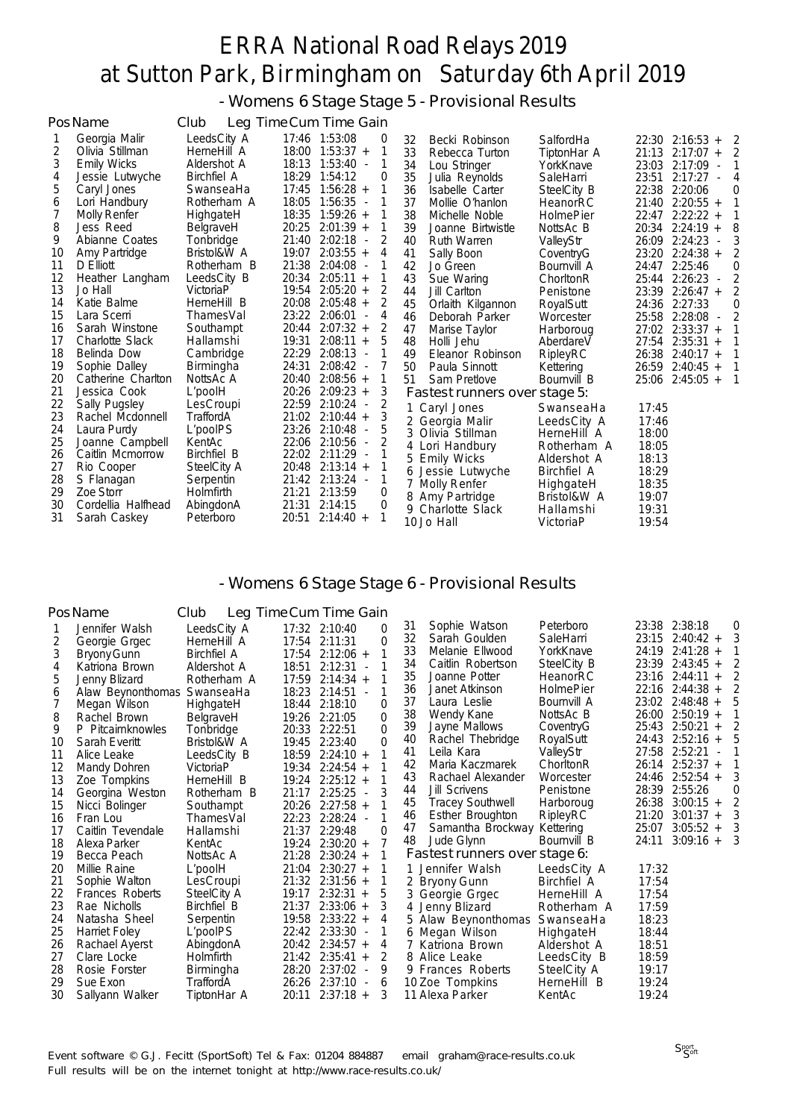- Womens 6 Stage Stage 5 - Provisional Results

|    | PosName                | Club               | Leg Time Cum Time Gain |                               |    |                               |                  |       |                                     |          |
|----|------------------------|--------------------|------------------------|-------------------------------|----|-------------------------------|------------------|-------|-------------------------------------|----------|
|    | Georgia Malir          | LeedsCity A        | 17:46 1:53:08          | 0                             | 32 | Becki Robinson                | SalfordHa        |       | $22:30$ $2:16:53 +$                 | 2        |
| 2  | Olivia Stillman        | HerneHill A        | $18:00$ $1:53:37 +$    |                               | 33 | Rebecca Turton                | TiptonHar A      |       | 21:13 2:17:07 +                     | 2        |
| 3  | <b>Emily Wicks</b>     | Aldershot A        | 18:13 1:53:40 -        | 1                             | 34 | Lou Stringer                  | YorkKnave        | 23:03 | $2:17:09$ -                         |          |
| 4  | Jessie Lutwyche        | <b>Birchfiel A</b> | 18:29 1:54:12          | 0                             | 35 | Julia Reynolds                | SaleHarri        | 23:51 | 2:17:27                             | 4        |
| 5  | Caryl Jones            | SwanseaHa          | $17:45$ 1:56:28 +      |                               | 36 | Isabelle Carter               | SteelCity B      |       | 22:38 2:20:06                       | $\Omega$ |
| 6  | Lori Handbury          | Rotherham A        | 18:05<br>1:56:35 -     |                               | 37 | Mollie O'hanlon               | HeanorRC         | 21:40 | $2:20:55 +$                         |          |
|    | Molly Renfer           | HighgateH          | 18:35<br>$1:59:26 +$   |                               | 38 | Michelle Noble                | <b>HolmePier</b> | 22:47 | $2:22:22 +$                         |          |
| 8  | <b>Jess Reed</b>       | BelgraveH          | 20:25<br>$2:01:39 +$   |                               | 39 | Joanne Birtwistle             | NottsAc B        | 20:34 | 2:24:19<br>$+$                      | 8        |
| 9  | Abianne Coates         | Tonbridge          | 21:40<br>2:02:18       | $\sim$                        | 40 | <b>Ruth Warren</b>            | ValleyStr        | 26:09 | 2:24:23<br>$\sim$                   |          |
| 10 | Amy Partridge          | Bristol&W A        | $2:03:55 +$<br>19:07   | 4                             | 41 | Sally Boon                    | CoventryG        | 23:20 | $2:24:38 +$                         | 2        |
| 11 | D Elliott              | Rotherham B        | 21:38<br>$2:04:08 -$   |                               | 42 | Jo Green                      | Bournvill A      | 24:47 | 2:25:46                             | O        |
| 12 | Heather Langham        | LeedsCity B        | $2:05:11 +$<br>20:34   |                               | 43 | Sue Waring                    | ChorltonR        | 25:44 | $2:26:23 -$                         | 2        |
| 13 | Jo Hall                | VictoriaP          | 19:54 2:05:20 +        | 2                             | 44 | Jill Carlton                  | Penistone        | 23:39 | $2:26:47 +$                         |          |
| 14 | Katie Balme            | HerneHill B        | 20:08<br>$2:05:48 +$   | 2                             | 45 | Orlaith Kilgannon             | RoyalSutt        | 24:36 | 2:27:33                             | 0        |
| 15 | Lara Scerri            | ThamesVal          | 23:22<br>2:06:01       | 4<br>$\overline{\phantom{a}}$ | 46 | Deborah Parker                | Worcester        | 25:58 | 2:28:08<br>$\overline{\phantom{a}}$ |          |
| 16 | Sarah Winstone         | Southampt          | $2:07:32 +$<br>20:44   | 2                             | 47 | Marise Taylor                 | Harboroug        |       | 27:02 2:33:37 +                     |          |
| 17 | <b>Charlotte Slack</b> | Hallamshi          | 19:31<br>2:08:11       | 5<br>$\overline{+}$           | 48 | Holli Jehu                    | AberdareV        | 27:54 | $2:35:31 +$                         |          |
| 18 | Belinda Dow            | Cambridge          | 22:29<br>2:08:13       | $\overline{\phantom{a}}$      | 49 | Eleanor Robinson              | RipleyRC         | 26:38 | $2:40:17 +$                         |          |
| 19 | Sophie Dalley          | Birmingha          | 24:31<br>$2:08:42 -$   |                               | 50 | Paula Sinnott                 | Kettering        | 26:59 | $2:40:45 +$                         |          |
| 20 | Catherine Charlton     | NottsAc A          | 20:40<br>$2:08:56 +$   | 1                             | 51 | Sam Pretlove                  | Bournvill B      | 25:06 | $2:45:05 +$                         | 1        |
| 21 | Jessica Cook           | L'poolH            | 20:26<br>$2:09:23 +$   | 3                             |    | Fastest runners over stage 5: |                  |       |                                     |          |
| 22 | Sally Pugsley          | LesCroupi          | 22:59<br>$2:10:24 -$   | 2                             |    | Caryl Jones                   | SwanseaHa        | 17:45 |                                     |          |
| 23 | Rachel Mcdonnell       | TraffordA          | 21:02<br>$2:10:44 +$   | 3                             |    | 2 Georgia Malir               | LeedsCity A      | 17:46 |                                     |          |
| 24 | Laura Purdy            | L'poolPS           | 23:26<br>$2:10:48 -$   | 5                             | 3  | Olivia Stillman               | HerneHill A      | 18:00 |                                     |          |
| 25 | Joanne Campbell        | KentAc             | 22:06<br>2:10:56 -     |                               |    | Lori Handbury                 | Rotherham A      | 18:05 |                                     |          |
| 26 | Caitlin Mcmorrow       | <b>Birchfiel B</b> | 22:02<br>$2:11:29$ -   |                               | 5  | <b>Emily Wicks</b>            | Aldershot A      | 18:13 |                                     |          |
| 27 | Rio Cooper             | SteelCity A        | 20:48<br>$2:13:14 +$   |                               |    | Jessie Lutwyche               | Birchfiel A      | 18:29 |                                     |          |
| 28 | S Flanagan             | Serpentin          | 21:42 2:13:24 -        | 1                             |    | Molly Renfer                  | HighgateH        | 18:35 |                                     |          |
| 29 | Zoe Storr              | Holmfirth          | 2:13:59<br>21:21       | 0                             | 8  | Amy Partridge                 | Bristol&W A      | 19:07 |                                     |          |
| 30 | Cordellia Halfhead     | AbingdonA          | 21:31<br>2:14:15       | 0                             |    | 9 Charlotte Slack             | Hallamshi        | 19:31 |                                     |          |
| 31 | Sarah Caskey           | Peterboro          | $2:14:40 +$<br>20:51   | 1                             |    | 10 Jo Hall                    | VictoriaP        | 19:54 |                                     |          |

### - Womens 6 Stage Stage 6 - Provisional Results

|    | PosName                     | Club               |       | Leg Time Cum Time Gain              |                |    |                               |                    |       |                     |   |
|----|-----------------------------|--------------------|-------|-------------------------------------|----------------|----|-------------------------------|--------------------|-------|---------------------|---|
|    | Jennifer Walsh              | LeedsCity A        |       | 17:32 2:10:40                       | 0              | 31 | Sophie Watson                 | Peterboro          |       | 23:38 2:38:18       | 0 |
| 2  | Georgie Grgec               | HerneHill A        |       | 17:54 2:11:31                       | 0              | 32 | Sarah Goulden                 | SaleHarri          | 23:15 | $2:40:42 +$         |   |
| 3  | Bryony Gunn                 | <b>Birchfiel A</b> |       | 17:54 2:12:06 +                     |                | 33 | Melanie Ellwood               | YorkKnave          | 24:19 | $2:41:28 +$         |   |
| 4  | Katriona Brown              | Aldershot A        | 18:51 | 2:12:31<br>$\sim$                   |                | 34 | Caitlin Robertson             | SteelCity B        | 23:39 | $2:43:45 +$         | 2 |
| 5  | Jenny Blizard               | Rotherham A        | 17:59 | $2:14:34 +$                         |                | 35 | Joanne Potter                 | HeanorRC           | 23:16 | 2:44:11<br>$+$      |   |
| 6  | Alaw Beynonthomas SwanseaHa |                    | 18:23 | 2:14:51<br>$\sim$                   | 1              | 36 | Janet Atkinson                | <b>HolmePier</b>   | 22:16 | $2:44:38 +$         |   |
|    | Megan Wilson                | HighgateH          |       | 18:44 2:18:10                       | $\Omega$       | 37 | Laura Leslie                  | Bournvill A        |       | $23:02$ $2:48:48 +$ |   |
| 8  | Rachel Brown                | BelgraveH          |       | 19:26 2:21:05                       | $\mathbf 0$    | 38 | Wendy Kane                    | NottsAc B          | 26:00 | $2:50:19 +$         |   |
| 9  | P Pitcairnknowles           | Tonbridge          | 20:33 | 2:22:51                             | $\overline{0}$ | 39 | Jayne Mallows                 | CoventryG          | 25:43 | 2:50:21<br>$+$      |   |
| 10 | Sarah Everitt               | Bristol&W A        | 19:45 | 2:23:40                             | $\Omega$       | 40 | Rachel Thebridge              | RoyalSutt          | 24:43 | $2:52:16 +$         |   |
| 11 | Alice Leake                 | LeedsCity B        | 18:59 | $2:24:10 +$                         |                | 41 | Leila Kara                    | ValleyStr          | 27:58 | 2:52:21             |   |
| 12 | Mandy Dohren                | VictoriaP          | 19:34 | $2:24:54 +$                         |                | 42 | Maria Kaczmarek               | ChorltonR          | 26:14 | $2:52:37 +$         |   |
| 13 | Zoe Tompkins                | HerneHill B        | 19:24 | $2:25:12 +$                         |                | 43 | Rachael Alexander             | Worcester          | 24:46 | $2:52:54 +$         |   |
| 14 | Georgina Weston             | Rotherham B        | 21:17 | 2:25:25<br>$\sim$                   | 3              | 44 | <b>Jill Scrivens</b>          | Penistone          | 28:39 | 2:55:26             | 0 |
| 15 | Nicci Bolinger              | Southampt          | 20:26 | $2:27:58 +$                         |                | 45 | <b>Tracey Southwell</b>       | Harboroug          | 26:38 | $3:00:15 +$         |   |
| 16 | Fran Lou                    | ThamesVal          | 22:23 | 2:28:24<br>$\overline{\phantom{a}}$ | 1              | 46 | Esther Broughton              | <b>RipleyRC</b>    | 21:20 | $3:01:37 +$         |   |
| 17 | Caitlin Tevendale           | Hallamshi          | 21:37 | 2:29:48                             | $\Omega$       | 47 | Samantha Brockway             | Kettering          | 25:07 | $3:05:52 +$         | 3 |
| 18 | Alexa Parker                | KentAc             |       | 19:24 2:30:20 +                     | 7              | 48 | Jude Glynn                    | Bournvill B        | 24:11 | $3:09:16 +$         | 3 |
| 19 | Becca Peach                 | NottsAc A          | 21:28 | $2:30:24 +$                         |                |    | Fastest runners over stage 6: |                    |       |                     |   |
| 20 | Millie Raine                | L'poolH            | 21:04 | $2:30:27 +$                         |                |    | 1 Jennifer Walsh              | LeedsCity A        | 17:32 |                     |   |
| 21 | Sophie Walton               | LesCroupi          |       | $21:32$ $2:31:56 +$                 |                |    | 2 Bryony Gunn                 | <b>Birchfiel A</b> | 17:54 |                     |   |
| 22 | <b>Frances Roberts</b>      | SteelCity A        | 19:17 | $2:32:31 +$                         | 5              |    | 3 Georgie Grgec               | HerneHill A        | 17:54 |                     |   |
| 23 | Rae Nicholls                | Birchfiel B        | 21:37 | $2:33:06 +$                         | 3              |    | 4 Jenny Blizard               | Rotherham A        | 17:59 |                     |   |
| 24 | Natasha Sheel               | Serpentin          |       | 19:58 2:33:22 +                     | 4              |    | 5 Alaw Beynonthomas           | SwanseaHa          | 18:23 |                     |   |
| 25 | Harriet Foley               | L'poolPS           |       | 22:42 2:33:30 -                     |                |    | 6 Megan Wilson                | HighgateH          | 18:44 |                     |   |
| 26 | Rachael Ayerst              | AbingdonA          |       | $20:42$ $2:34:57 +$                 | 4              |    | 7 Katriona Brown              | Aldershot A        | 18:51 |                     |   |
| 27 | Clare Locke                 | Holmfirth          |       | $21:42$ $2:35:41 +$                 | 2              |    | 8 Alice Leake                 | LeedsCity B        | 18:59 |                     |   |
| 28 | Rosie Forster               | Birmingha          |       | 28:20 2:37:02<br>$\sim$             | 9              |    | 9 Frances Roberts             | SteelCity A        | 19:17 |                     |   |
| 29 | Sue Exon                    | TraffordA          | 26:26 | 2:37:10<br>$\sim$                   | 6              |    | 10 Zoe Tompkins               | HerneHill B        | 19:24 |                     |   |
| 30 | Sallyann Walker             | TiptonHar A        | 20:11 | $2:37:18 +$                         | 3              |    | 11 Alexa Parker               | KentAc             | 19:24 |                     |   |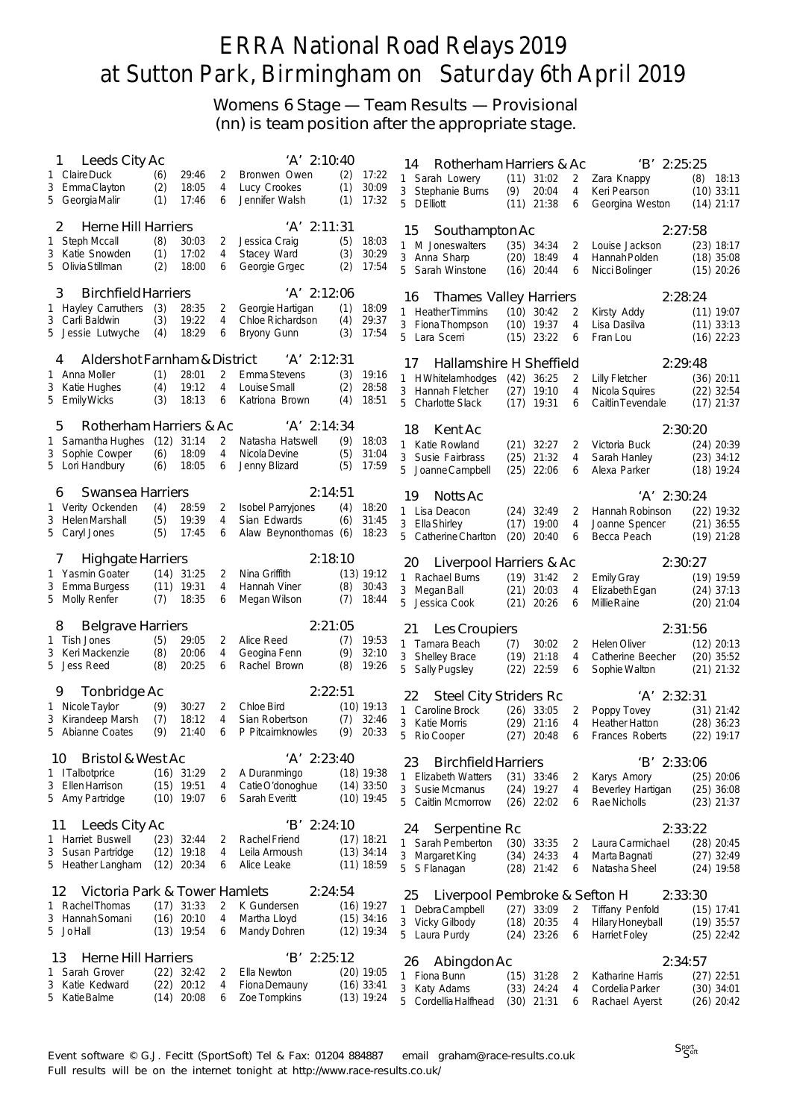Womens 6 Stage — Team Results — Provisional (nn) is team position after the appropriate stage.

| Leeds City Ac<br>1                                      |             |                              |                | 'A' 2:10:40                            |            |                              | 14 | Rotherham Harriers & Ac          |                      |                |                     | $'B'$ 2:25:25                         |                              |  |
|---------------------------------------------------------|-------------|------------------------------|----------------|----------------------------------------|------------|------------------------------|----|----------------------------------|----------------------|----------------|---------------------|---------------------------------------|------------------------------|--|
| 1 Claire Duck                                           | (6)         | 29:46                        | 2              | Bronwen Owen                           | (2)        | 17:22                        |    | 1 Sarah Lowery                   |                      | $(11)$ 31:02   | 2                   | Zara Knappy                           | (8)<br>18:13                 |  |
| 3 EmmaClayton                                           | (2)         | 18:05                        | 4              | Lucy Crookes                           | (1)        | 30:09                        | 3  | Stephanie Burns                  | (9)                  | 20:04          | 4                   | Keri Pearson                          | $(10)$ 33:11                 |  |
| 5 Georgia Malir                                         | (1)         | 17:46                        | 6              | Jennifer Walsh                         | (1)        | 17:32                        |    | 5 DElliott                       | $(11)$ 21:38         |                | 6                   | Georgina Weston                       | $(14)$ 21:17                 |  |
| <b>Herne Hill Harriers</b><br>2                         |             |                              |                | 'A' 2:11:31                            |            |                              |    |                                  |                      |                |                     |                                       |                              |  |
| 1 Steph Mccall                                          | (8)         | 30:03                        | 2              | Jessica Craig                          | (5)        | 18:03                        | 15 | Southampton Ac                   |                      |                |                     | 2:27:58                               |                              |  |
| 3<br>Katie Snowden                                      | (1)         | 17:02                        | $\overline{4}$ | Stacey Ward                            | (3)        | 30:29                        |    | 1 M Joneswalters<br>3 Anna Sharp | $(35)$ 34:34         |                | 2<br>$\overline{4}$ | Louise Jackson<br>Hannah Polden       | $(23)$ 18:17                 |  |
| 5 Olivia Stillman                                       | (2)         | 18:00                        | 6              | Georgie Grgec                          | (2)        | 17:54                        | 5  | Sarah Winstone                   | (20)<br>(16)         | 18:49<br>20:44 | 6                   | Nicci Bolinger                        | $(18)$ 35:08<br>$(15)$ 20:26 |  |
|                                                         |             |                              |                |                                        |            |                              |    |                                  |                      |                |                     |                                       |                              |  |
| <b>Birchfield Harriers</b><br>3                         |             |                              |                | 'A' 2:12:06                            |            |                              | 16 | <b>Thames Valley Harriers</b>    |                      |                |                     | 2:28:24                               |                              |  |
| 1 Hayley Carruthers                                     | (3)         | 28:35                        | 2              | Georgie Hartigan                       | (1)        | 18:09                        |    | 1 Heather Timmins                |                      | $(10)$ 30:42   | 2                   | Kirsty Addy                           | $(11)$ 19:07                 |  |
| Carli Baldwin<br>3<br>5 Jessie Lutwyche                 | (3)<br>(4)  | 19:22<br>18:29               | 4<br>6         | Chloe Richardson<br><b>Bryony Gunn</b> | (4)<br>(3) | 29:37<br>17:54               |    | 3 Fiona Thompson                 | (10)                 | 19:37          | $\overline{4}$      | Lisa Dasilva                          | $(11)$ 33:13                 |  |
|                                                         |             |                              |                |                                        |            |                              | 5  | Lara Scerri                      | $(15)$ 23:22         |                | 6                   | Fran Lou                              | $(16)$ 22:23                 |  |
| Aldershot Farnham & District<br>4                       |             |                              |                | 'A' 2:12:31                            |            |                              | 17 | Hallamshire H Sheffield          |                      |                |                     | 2:29:48                               |                              |  |
| 1 Anna Moller                                           | (1)         | 28:01                        | 2              | <b>Emma Stevens</b>                    | (3)        | 19:16                        |    | 1 HWhitelamhodges                | $(42)$ 36:25         |                | 2                   | <b>Lilly Fletcher</b>                 | $(36)$ 20:11                 |  |
| 3 Katie Hughes                                          | (4)         | 19:12                        | 4              | Louise Small                           | (2)        | 28:58                        |    | 3 Hannah Fletcher                | (27)                 | 19:10          | 4                   | Nicola Squires                        | $(22)$ 32:54                 |  |
| 5 Emily Wicks                                           | (3)         | 18:13                        | 6              | Katriona Brown                         | (4)        | 18:51                        | 5  | <b>Charlotte Slack</b>           | $(17)$ 19:31         |                | 6                   | Caitlin Tevendale                     | $(17)$ 21:37                 |  |
|                                                         |             |                              |                |                                        |            |                              |    |                                  |                      |                |                     |                                       |                              |  |
| Rotherham Harriers & Ac<br>5                            |             |                              |                | 'A' 2:14:34                            |            |                              | 18 | Kent Ac                          |                      |                |                     | 2:30:20                               |                              |  |
| 1 Samantha Hughes<br>3                                  | (12)<br>(6) | 31:14<br>18:09               | 2<br>4         | Natasha Hatswell<br>Nicola Devine      | (9)        | 18:03<br>31:04               |    | 1 Katie Rowland                  | $(21)$ 32:27         |                | 2                   | Victoria Buck                         | $(24)$ 20:39                 |  |
| Sophie Cowper<br>5 Lori Handbury                        | (6)         | 18:05                        | 6              | Jenny Blizard                          | (5)<br>(5) | 17:59                        | 3  | Susie Fairbrass                  | (25)                 | 21:32          | 4                   | Sarah Hanley                          | $(23)$ 34:12                 |  |
|                                                         |             |                              |                |                                        |            |                              | 5  | Joanne Campbell                  | (25)                 | 22:06          | 6                   | Alexa Parker                          | $(18)$ 19:24                 |  |
| Swansea Harriers<br>6                                   |             |                              |                | 2:14:51                                |            |                              | 19 | Notts Ac                         |                      |                |                     | $'A'$ 2:30:24                         |                              |  |
| 1 Verity Ockenden                                       | (4)         | 28:59                        | 2              | <b>Isobel Parryjones</b>               | (4)        | 18:20                        |    | 1 Lisa Deacon                    | $(24)$ 32:49         |                | 2                   | Hannah Robinson                       | $(22)$ 19:32                 |  |
| 3 HelenMarshall                                         | (5)         | 19:39                        | 4              | Sian Edwards                           | (6)        | 31:45                        |    | 3 Ella Shirley                   | (17)                 | 19:00          | 4                   | Joanne Spencer                        | $(21)$ 36:55                 |  |
| 5 Caryl Jones                                           | (5)         | 17:45                        | 6              | Alaw Beynonthomas (6)                  |            | 18:23                        | 5. | Catherine Charlton               | (20)                 | 20:40          | 6                   | Becca Peach                           | $(19)$ 21:28                 |  |
|                                                         |             |                              |                | 2:18:10                                |            |                              |    |                                  |                      |                |                     |                                       |                              |  |
| <b>Highgate Harriers</b><br>$\prime$<br>1 Yasmin Goater | (14)        | 31:25                        | 2              | Nina Griffith                          |            | $(13)$ 19:12                 | 20 | Liverpool Harriers & Ac          |                      |                |                     | 2:30:27                               |                              |  |
| 3 Emma Burgess                                          |             | $(11)$ 19:31                 | 4              | Hannah Viner                           | (8)        | 30:43                        |    | 1 Rachael Burns                  | (19)                 | 31:42          | 2                   | <b>Emily Gray</b>                     | $(19)$ 19:59                 |  |
| 5 Molly Renfer                                          | (7)         | 18:35                        | 6              | Megan Wilson                           | (7)        | 18:44                        |    | 3 Megan Ball<br>5 Jessica Cook   | (21)<br>(21)         | 20:03<br>20:26 | $\overline{4}$<br>6 | Elizabeth Egan<br><b>Millie Raine</b> | $(24)$ 37:13                 |  |
|                                                         |             |                              |                |                                        |            |                              |    |                                  |                      |                |                     |                                       | $(20)$ 21:04                 |  |
| <b>Belgrave Harriers</b><br>8                           |             |                              |                | 2:21:05                                |            |                              | 21 | Les Croupiers                    |                      |                |                     | 2:31:56                               |                              |  |
| 1 Tish Jones                                            | (5)         | 29:05                        | 2              | Alice Reed                             | (7)        | 19:53                        |    | 1 Tamara Beach                   | (7)                  | 30:02          | 2                   | <b>Helen Oliver</b>                   | $(12)$ 20:13                 |  |
| Keri Mackenzie<br>3.                                    | (8)         | 20:06                        | $\overline{4}$ | Geogina Fenn                           | (9)        | 32:10                        |    | 3 Shelley Brace                  | (19)                 | 21:18          | 4                   | Catherine Beecher                     | $(20)$ 35:52                 |  |
| 5 Jess Reed                                             | (8)         | 20:25                        | 6              | Rachel Brown                           | (8)        | 19:26                        |    | 5 Sally Pugsley                  | (22)                 | 22:59          | 6                   | Sophie Walton                         | $(21)$ 21:32                 |  |
| Tonbridge Ac<br>9                                       |             |                              |                | 2:22:51                                |            |                              |    |                                  |                      |                |                     |                                       |                              |  |
| 1 Nicole Taylor                                         | (9)         | 30:27                        | 2              | Chloe Bird                             |            | $(10)$ 19:13                 | 22 | <b>Steel City Striders Rc</b>    |                      |                |                     | $'A'$ 2:32:31                         |                              |  |
| Kirandeep Marsh<br>3                                    | (7)         | 18:12                        | 4              | Sian Robertson                         | (7)        | 32:46                        | 3  | 1 Caroline Brock<br>Katie Morris | $(26)$ 33:05<br>(29) | 21:16          | 2<br>4              | Poppy Tovey<br><b>Heather Hatton</b>  | $(31)$ 21:42<br>$(28)$ 36:23 |  |
| 5 Abianne Coates                                        | (9)         | 21:40                        | 6              | P Pitcairnknowles                      | (9)        | 20:33                        | 5  | Rio Cooper                       | (27)                 | 20:48          | 6                   | <b>Frances Roberts</b>                | $(22)$ 19:17                 |  |
|                                                         |             |                              |                |                                        |            |                              |    |                                  |                      |                |                     |                                       |                              |  |
| Bristol & West Ac<br>10                                 |             |                              |                | 'A' 2:23:40                            |            |                              | 23 | <b>Birchfield Harriers</b>       |                      |                |                     | 'B' 2:33:06                           |                              |  |
| 1 ITalbotprice                                          |             | $(16)$ 31:29                 | 2              | A Duranmingo                           |            | $(18)$ 19:38                 |    | 1 Elizabeth Watters              |                      | $(31)$ 33:46   | 2                   | Karys Amory                           | $(25)$ 20:06                 |  |
| 3 Ellen Harrison<br>5 Amy Partridge                     |             | $(15)$ 19:51<br>$(10)$ 19:07 | 4<br>6         | Catie O'donoghue<br>Sarah Everitt      |            | $(14)$ 33:50                 |    | 3 Susie Mcmanus                  | $(24)$ 19:27         |                | 4                   | Beverley Hartigan                     | $(25)$ 36:08                 |  |
|                                                         |             |                              |                |                                        |            | $(10)$ 19:45                 |    | 5 Caitlin Mcmorrow               |                      | $(26)$ 22:02   | 6                   | Rae Nicholls                          | $(23)$ 21:37                 |  |
| Leeds City Ac<br>11                                     |             |                              |                | 'B' 2:24:10                            |            |                              | 24 |                                  |                      |                |                     | 2:33:22                               |                              |  |
| 1 Harriet Buswell                                       |             | $(23)$ 32:44                 | 2              | Rachel Friend                          |            | $(17)$ 18:21                 |    | Serpentine Rc<br>Sarah Pemberton | $(30)$ 33:35         |                |                     |                                       | $(28)$ 20:45                 |  |
| 3<br>Susan Partridge                                    |             | $(12)$ 19:18                 | 4              | Leila Armoush                          |            | $(13)$ 34:14                 | 1. | 3 Margaret King                  | $(34)$ 24:33         |                | 2<br>4              | Laura Carmichael<br>Marta Bagnati     | $(27)$ 32:49                 |  |
| 5 Heather Langham                                       |             | $(12)$ 20:34                 | 6              | Alice Leake                            |            | $(11)$ 18:59                 |    | 5 S Flanagan                     |                      | $(28)$ 21:42   | 6                   | Natasha Sheel                         | $(24)$ 19:58                 |  |
|                                                         |             |                              |                |                                        |            |                              |    |                                  |                      |                |                     |                                       |                              |  |
| Victoria Park & Tower Hamlets<br>12                     |             |                              |                | 2:24:54                                |            |                              | 25 | Liverpool Pembroke & Sefton H    |                      |                |                     | 2:33:30                               |                              |  |
| 1 Rachel Thomas                                         |             | $(17)$ 31:33                 | 2              | K Gundersen                            |            | $(16)$ 19:27                 |    | 1 DebraCampbell                  | $(27)$ 33:09         |                | 2                   | <b>Tiffany Penfold</b>                | $(15)$ 17:41                 |  |
| 3 Hannah Somani<br>5 JoHall                             |             | $(16)$ 20:10<br>$(13)$ 19:54 | 4<br>6         | Martha Lloyd<br>Mandy Dohren           |            | $(15)$ 34:16<br>$(12)$ 19:34 |    | 3 Vicky Gilbody                  | $(18)$ 20:35         |                | 4                   | Hilary Honeyball                      | $(19)$ 35:57                 |  |
|                                                         |             |                              |                |                                        |            |                              |    | 5 Laura Purdy                    |                      | $(24)$ 23:26   | 6                   | <b>Harriet Foley</b>                  | $(25)$ 22:42                 |  |
| Herne Hill Harriers<br>13                               |             |                              |                | 'B' 2:25:12                            |            |                              | 26 | Abingdon Ac                      |                      |                |                     | 2:34:57                               |                              |  |
| Sarah Grover<br>Τ                                       |             | $(22)$ 32:42                 | 2              | Ella Newton                            |            | $(20)$ 19:05                 |    | 1 Fiona Bunn                     | $(15)$ 31:28         |                | 2                   | Katharine Harris                      | $(27)$ 22:51                 |  |
| 3<br>Katie Kedward                                      |             | $(22)$ 20:12                 | 4              | Fiona Demauny                          |            | $(16)$ 33:41                 | 3  | Katy Adams                       | $(33)$ 24:24         |                | 4                   | Cordelia Parker                       | $(30)$ 34:01                 |  |
| 5 Katie Balme                                           |             | $(14)$ 20:08                 | 6              | Zoe Tompkins                           |            | $(13)$ 19:24                 |    | 5 Cordellia Halfhead             | $(30)$ 21:31         |                | 6                   | Rachael Ayerst                        | $(26)$ 20:42                 |  |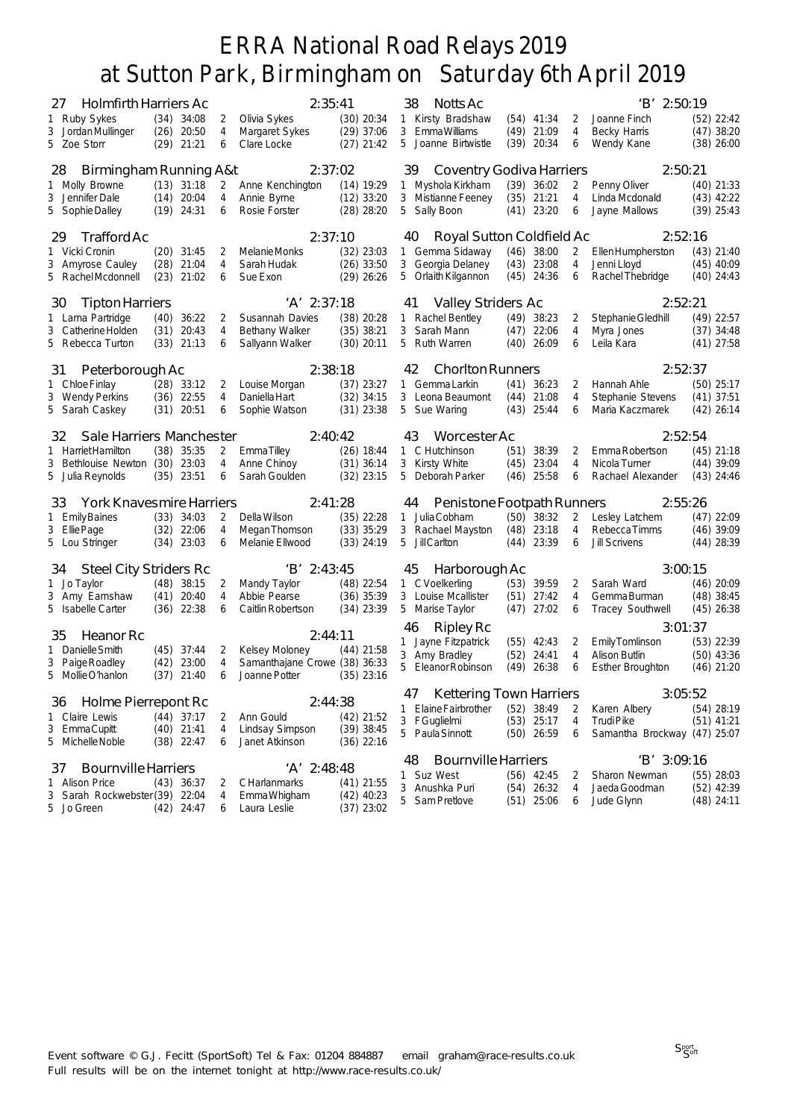| <b>Holmfirth Harriers Ac</b><br>27                 |                                                                                      |                 | 2:35:41                                        |                              | 38 | Notts Ac                       |      |              |                | 'B' 2:50:19                  |  |              |
|----------------------------------------------------|--------------------------------------------------------------------------------------|-----------------|------------------------------------------------|------------------------------|----|--------------------------------|------|--------------|----------------|------------------------------|--|--------------|
| 1 Ruby Sykes                                       | $(34)$ 34:08                                                                         | 2               | Olivia Sykes                                   | $(30)$ 20:34                 |    | 1 Kirsty Bradshaw              |      | $(54)$ 41:34 | 2              | Joanne Finch                 |  | $(52)$ 22:42 |
| 3 Jordan Mullinger                                 | (26)                                                                                 | 20:50<br>4      | Margaret Sykes                                 | $(29)$ 37:06                 |    | 3 EmmaWilliams                 |      | $(49)$ 21:09 | 4              | Becky Harris                 |  | $(47)$ 38:20 |
| 5 Zoe Storr                                        | $(29)$ 21:21                                                                         | 6               | Clare Locke                                    | $(27)$ 21:42                 |    | 5 Joanne Birtwistle            | (39) | 20:34        | 6              | Wendy Kane                   |  | $(38)$ 26:00 |
| Birmingham Running A&t<br>28                       |                                                                                      |                 | 2:37:02                                        |                              | 39 | Coventry Godiva Harriers       |      |              |                | 2:50:21                      |  |              |
| 1 Molly Browne                                     | (13)                                                                                 | 31:18<br>2      | Anne Kenchington                               | $(14)$ 19:29                 |    | 1 Myshola Kirkham              |      | $(39)$ 36:02 | 2              | Penny Oliver                 |  | $(40)$ 21:33 |
| 3 Jennifer Dale                                    | $(14)$ 20:04                                                                         | 4               | Annie Byrne                                    | $(12)$ 33:20                 |    | 3 Mistianne Feeney             |      | $(35)$ 21:21 | $\overline{4}$ | Linda Mcdonald               |  | $(43)$ 42:22 |
| 5 Sophie Dalley                                    | $(19)$ 24:31                                                                         | 6               | Rosie Forster                                  | $(28)$ 28:20                 |    | 5 Sally Boon                   |      | $(41)$ 23:20 | 6              | Jayne Mallows                |  | $(39)$ 25:43 |
| Trafford Ac<br>29                                  |                                                                                      |                 | 2:37:10                                        |                              | 40 | Royal Sutton Coldfield Ac      |      |              |                | 2:52:16                      |  |              |
| 1 Vicki Cronin                                     | $(20)$ 31:45                                                                         | 2               | Melanie Monks                                  | $(32)$ 23:03                 |    | 1 Gemma Sidaway                |      | $(46)$ 38:00 | 2              | Ellen Humpherston            |  | $(43)$ 21:40 |
| 3 Amyrose Cauley                                   | (28)<br>21:04                                                                        | 4               | Sarah Hudak                                    | $(26)$ 33:50                 |    | 3 Georgia Delaney              |      | $(43)$ 23:08 | 4              | Jenni Lloyd                  |  | $(45)$ 40:09 |
| 5 Rachel Mcdonnell                                 | (23)                                                                                 | 21:02<br>6      | Sue Exon                                       | $(29)$ 26:26                 |    | 5 Orlaith Kilgannon            |      | $(45)$ 24:36 | 6              | Rachel Thebridge             |  | $(40)$ 24:43 |
|                                                    | 2:52:21<br>$'A'$ 2:37:18<br>Valley Striders Ac<br>30<br><b>Tipton Harriers</b><br>41 |                 |                                                |                              |    |                                |      |              |                |                              |  |              |
| 1 Larna Partridge                                  | (40)                                                                                 | 36:22<br>2      | Susannah Davies                                | $(38)$ 20:28                 |    | 1 Rachel Bentley               |      | $(49)$ 38:23 | 2              | Stephanie Gledhill           |  | $(49)$ 22:57 |
| 3 Catherine Holden                                 | (31)                                                                                 | 20:43<br>4      | <b>Bethany Walker</b>                          | $(35)$ 38:21                 |    | 3 Sarah Mann                   |      | $(47)$ 22:06 | 4              | Myra Jones                   |  | $(37)$ 34:48 |
| 5 Rebecca Turton                                   | $(33)$ 21:13                                                                         | 6               | Sallyann Walker                                | $(30)$ 20:11                 |    | 5 Ruth Warren                  |      | $(40)$ 26:09 | 6              | Leila Kara                   |  | $(41)$ 27:58 |
| Peterborough Ac<br>31                              |                                                                                      |                 | 2:38:18                                        |                              | 42 | <b>Chorlton Runners</b>        |      |              |                | 2:52:37                      |  |              |
| 1 Chloe Finlay                                     | $(28)$ 33:12                                                                         | 2               | Louise Morgan                                  | $(37)$ 23:27                 |    | 1 Gemma Larkin                 |      | $(41)$ 36:23 | 2              | Hannah Ahle                  |  | $(50)$ 25:17 |
| 3 Wendy Perkins                                    | $(36)$ 22:55                                                                         | 4               | Daniella Hart                                  | $(32)$ 34:15                 |    | 3 Leona Beaumont               | (44) | 21:08        | $\overline{4}$ | Stephanie Stevens            |  | $(41)$ 37:51 |
| 5 Sarah Caskey                                     | $(31)$ 20:51                                                                         | 6               | Sophie Watson                                  | $(31)$ 23:38                 |    | 5 Sue Waring                   |      | $(43)$ 25:44 | 6              | Maria Kaczmarek              |  | $(42)$ 26:14 |
| Sale Harriers Manchester<br>32                     |                                                                                      |                 | 2:40:42                                        |                              | 43 | Worcester Ac                   |      |              |                | 2:52:54                      |  |              |
| 1 Harriet Hamilton                                 | $(38)$ 35:35                                                                         | 2               | Emma Tilley                                    | $(26)$ 18:44                 |    | 1 C Hutchinson                 | (51) | 38:39        | 2              | Emma Robertson               |  | $(45)$ 21:18 |
| 3 Bethlouise Newton                                | (30)                                                                                 | 23:03<br>4      | Anne Chinoy                                    | $(31)$ 36:14                 | 3  | Kirsty White                   | (45) | 23:04        | 4              | Nicola Turner                |  | $(44)$ 39:09 |
| 5 Julia Reynolds                                   | $(35)$ 23:51                                                                         | 6               | Sarah Goulden                                  | $(32)$ 23:15                 |    | 5 Deborah Parker               | (46) | 25:58        | 6              | Rachael Alexander            |  | $(43)$ 24:46 |
| York Knavesmire Harriers<br>33                     |                                                                                      |                 | 2:41:28                                        |                              | 44 | Penistone Footpath Runners     |      |              |                | 2:55:26                      |  |              |
| 1 Emily Baines                                     | $(33)$ 34:03                                                                         | 2               | Della Wilson                                   | $(35)$ 22:28                 | 1  | Julia Cobham                   |      | $(50)$ 38:32 | 2              | Lesley Latchem               |  | $(47)$ 22:09 |
| 3 Ellie Page                                       | (32)                                                                                 | 22:06<br>4      | Megan Thomson                                  | $(33)$ 35:29                 |    | 3 Rachael Mayston              | (48) | 23:18        | $\overline{4}$ | Rebecca Timms                |  | $(46)$ 39:09 |
| 5 Lou Stringer                                     | $(34)$ 23:03                                                                         | 6               | Melanie Ellwood                                | $(33)$ 24:19                 | 5  | <b>JillCarlton</b>             |      | $(44)$ 23:39 | 6              | <b>Jill Scrivens</b>         |  | $(44)$ 28:39 |
| <b>Steel City Striders Rc</b><br>34                |                                                                                      |                 | $'B'$ 2:43:45                                  |                              | 45 | Harborough Ac                  |      |              |                | 3:00:15                      |  |              |
| 1 Jo Taylor                                        | (48)                                                                                 | 38:15<br>2      | Mandy Taylor                                   | $(48)$ 22:54                 |    | 1 C Voelkerling                |      | $(53)$ 39:59 | 2              | Sarah Ward                   |  | $(46)$ 20:09 |
| 3 Amy Earnshaw                                     | (41)                                                                                 | 20:40<br>4      | Abbie Pearse                                   | $(36)$ 35:39                 |    | 3 Louise Mcallister            | (51) | 27:42        | 4              | Gemma Burman                 |  | $(48)$ 38:45 |
| 5 Isabelle Carter                                  | $(36)$ 22:38                                                                         | 6               | Caitlin Robertson                              | $(34)$ 23:39                 |    | 5 Marise Taylor                |      | $(47)$ 27:02 | 6              | Tracey Southwell             |  | $(45)$ 26:38 |
| 35<br>Heanor Rc                                    |                                                                                      |                 | 2:44:11                                        |                              | 46 | Ripley Rc                      |      |              |                | 3:01:37                      |  |              |
|                                                    |                                                                                      |                 |                                                |                              |    | 1 Jayne Fitzpatrick            |      | $(55)$ 42:43 | 2              | Emily Tomlinson              |  | $(53)$ 22:39 |
| 1 Danielle Smith                                   | $(45)$ 37:44                                                                         | 2<br>23:00<br>4 | <b>Kelsey Moloney</b>                          | $(44)$ 21:58                 |    | 3 Amy Bradley                  | (52) | 24:41        | 4              | <b>Alison Butlin</b>         |  | $(50)$ 43:36 |
| 3 Paige Roadley<br>5 MollieO'hanlon                | (42)<br>(37)                                                                         | 21:40<br>6      | Samanthajane Crowe (38) 36:33<br>Joanne Potter | $(35)$ 23:16                 | 5  | <b>Eleanor Robinson</b>        | (49) | 26:38        | 6              | <b>Esther Broughton</b>      |  | $(46)$ 21:20 |
|                                                    |                                                                                      |                 |                                                |                              | 47 | <b>Kettering Town Harriers</b> |      |              |                | 3:05:52                      |  |              |
| 36<br>Holme Pierrepont Rc                          |                                                                                      |                 |                                                | 2:44:38                      |    | 1 Elaine Fairbrother           |      | $(52)$ 38:49 | 2              | Karen Albery                 |  | $(54)$ 28:19 |
| 1 Claire Lewis                                     | $(44)$ 37:17                                                                         | 2               | Ann Gould                                      | $(42)$ 21:52                 |    | 3 FGuglielmi                   |      | $(53)$ 25:17 | 4              | <b>TrudiPike</b>             |  | $(51)$ 41:21 |
| 3 EmmaCupitt<br>5 Michelle Noble                   | $(40)$ 21:41<br>$(38)$ 22:47                                                         | 4<br>6          | Lindsay Simpson<br>Janet Atkinson              | $(39)$ 38:45<br>(36) 22:16   |    | 5 Paula Sinnott                |      | $(50)$ 26:59 | 6              | Samantha Brockway (47) 25:07 |  |              |
|                                                    |                                                                                      |                 |                                                |                              | 48 | <b>Bournville Harriers</b>     |      |              |                | $'B'$ 3:09:16                |  |              |
| <b>Bournville Harriers</b><br>37                   |                                                                                      |                 | 'A' 2:48:48                                    |                              |    | 1 Suz West                     |      | $(56)$ 42:45 | 2              | Sharon Newman                |  | $(55)$ 28:03 |
| 1 Alison Price                                     | $(43)$ 36:37                                                                         | 2               | <b>CHarlanmarks</b>                            | $(41)$ 21:55                 | 3  | Anushka Puri                   |      | $(54)$ 26:32 | 4              | Jaeda Goodman                |  | $(52)$ 42:39 |
| Sarah Rockwebster (39) 22:04<br>3<br>5<br>Jo Green | $(42)$ 24:47                                                                         | 4<br>6          | Emma Whigham<br>Laura Leslie                   | $(42)$ 40:23<br>$(37)$ 23:02 |    | 5 Sam Pretlove                 |      | $(51)$ 25:06 | 6              | Jude Glynn                   |  | $(48)$ 24:11 |
|                                                    |                                                                                      |                 |                                                |                              |    |                                |      |              |                |                              |  |              |